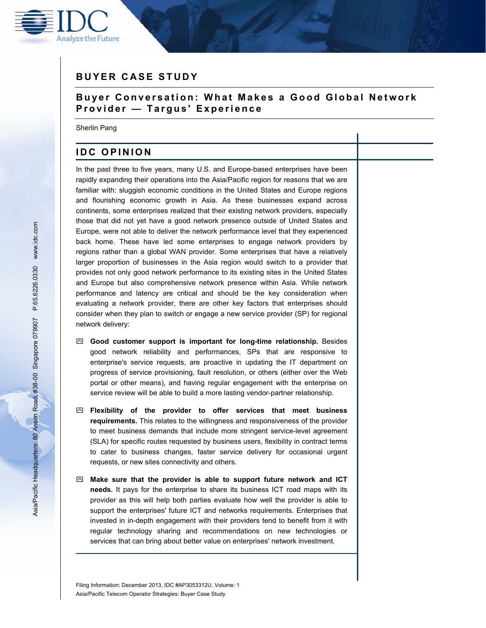

# **BUYER CASE STUDY**

### **B u yer Conversation: What Makes a Good Global Network Provider — Targus' Experience**

Sherlin Pang

## **IDC OPINION**

In the past three to five years, many U.S. and Europe-based enterprises have been rapidly expanding their operations into the Asia/Pacific region for reasons that we are familiar with: sluggish economic conditions in the United States and Europe regions and flourishing economic growth in Asia. As these businesses expand across continents, some enterprises realized that their existing network providers, especially those that did not yet have a good network presence outside of United States and Europe, were not able to deliver the network performance level that they experienced back home. These have led some enterprises to engage network providers by regions rather than a global WAN provider. Some enterprises that have a relatively larger proportion of businesses in the Asia region would switch to a provider that provides not only good network performance to its existing sites in the United States and Europe but also comprehensive network presence within Asia. While network performance and latency are critical and should be the key consideration when evaluating a network provider, there are other key factors that enterprises should consider when they plan to switch or engage a new service provider (SP) for regional network delivery:

- **Good customer support is important for long-time relationship.** Besides good network reliability and performances, SPs that are responsive to enterprise's service requests, are proactive in updating the IT department on progress of service provisioning, fault resolution, or others (either over the Web portal or other means), and having regular engagement with the enterprise on service review will be able to build a more lasting vendor-partner relationship.
- **Flexibility of the provider to offer services that meet business requirements.** This relates to the willingness and responsiveness of the provider to meet business demands that include more stringent service-level agreement (SLA) for specific routes requested by business users, flexibility in contract terms to cater to business changes, faster service delivery for occasional urgent requests, or new sites connectivity and others.
- **Make sure that the provider is able to support future network and ICT needs.** It pays for the enterprise to share its business ICT road maps with its provider as this will help both parties evaluate how well the provider is able to support the enterprises' future ICT and networks requirements. Enterprises that invested in in-depth engagement with their providers tend to benefit from it with regular technology sharing and recommendations on new technologies or services that can bring about better value on enterprises' network investment.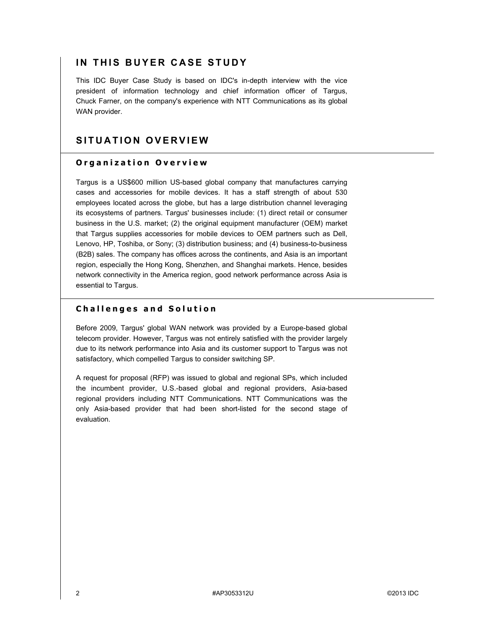## **IN THIS BUYER CASE STUDY**

This IDC Buyer Case Study is based on IDC's in-depth interview with the vice president of information technology and chief information officer of Targus, Chuck Farner, on the company's experience with NTT Communications as its global WAN provider.

## **SITUATION OVERVIEW**

### **Organization Overview**

Targus is a US\$600 million US-based global company that manufactures carrying cases and accessories for mobile devices. It has a staff strength of about 530 employees located across the globe, but has a large distribution channel leveraging its ecosystems of partners. Targus' businesses include: (1) direct retail or consumer business in the U.S. market; (2) the original equipment manufacturer (OEM) market that Targus supplies accessories for mobile devices to OEM partners such as Dell, Lenovo, HP, Toshiba, or Sony; (3) distribution business; and (4) business-to-business (B2B) sales. The company has offices across the continents, and Asia is an important region, especially the Hong Kong, Shenzhen, and Shanghai markets. Hence, besides network connectivity in the America region, good network performance across Asia is essential to Targus.

#### **Challenges and Solution**

Before 2009, Targus' global WAN network was provided by a Europe-based global telecom provider. However, Targus was not entirely satisfied with the provider largely due to its network performance into Asia and its customer support to Targus was not satisfactory, which compelled Targus to consider switching SP.

A request for proposal (RFP) was issued to global and regional SPs, which included the incumbent provider, U.S.-based global and regional providers, Asia-based regional providers including NTT Communications. NTT Communications was the only Asia-based provider that had been short-listed for the second stage of evaluation.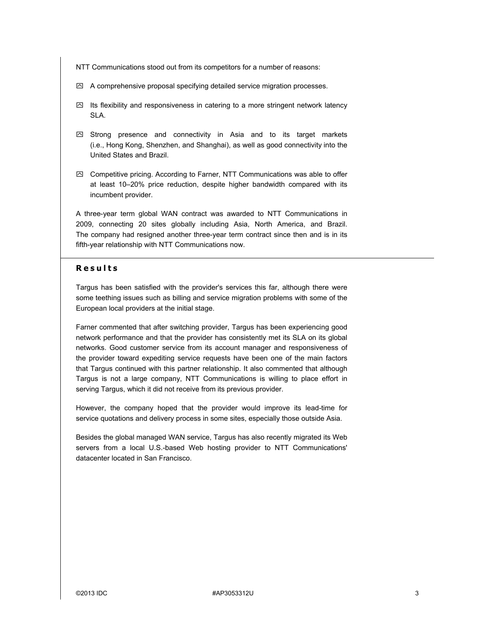- NTT Communications stood out from its competitors for a number of reasons:
- $\boxdot$  A comprehensive proposal specifying detailed service migration processes.
- $\boxtimes$  Its flexibility and responsiveness in catering to a more stringent network latency SLA.
- $\boxdot$  Strong presence and connectivity in Asia and to its target markets (i.e., Hong Kong, Shenzhen, and Shanghai), as well as good connectivity into the United States and Brazil.
- $\boxtimes$  Competitive pricing. According to Farner, NTT Communications was able to offer at least 10–20% price reduction, despite higher bandwidth compared with its incumbent provider.

A three-year term global WAN contract was awarded to NTT Communications in 2009, connecting 20 sites globally including Asia, North America, and Brazil. The company had resigned another three-year term contract since then and is in its fifth-year relationship with NTT Communications now.

#### **Results**

Targus has been satisfied with the provider's services this far, although there were some teething issues such as billing and service migration problems with some of the European local providers at the initial stage.

Farner commented that after switching provider, Targus has been experiencing good network performance and that the provider has consistently met its SLA on its global networks. Good customer service from its account manager and responsiveness of the provider toward expediting service requests have been one of the main factors that Targus continued with this partner relationship. It also commented that although Targus is not a large company, NTT Communications is willing to place effort in serving Targus, which it did not receive from its previous provider.

However, the company hoped that the provider would improve its lead-time for service quotations and delivery process in some sites, especially those outside Asia.

Besides the global managed WAN service, Targus has also recently migrated its Web servers from a local U.S.-based Web hosting provider to NTT Communications' datacenter located in San Francisco.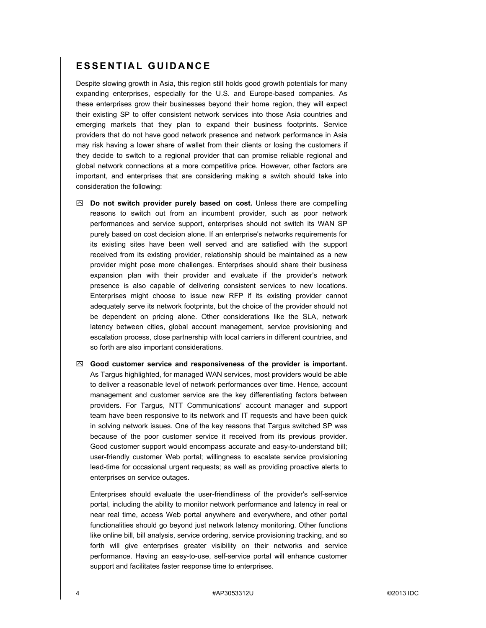### **ESSENTIAL GUIDANCE**

Despite slowing growth in Asia, this region still holds good growth potentials for many expanding enterprises, especially for the U.S. and Europe-based companies. As these enterprises grow their businesses beyond their home region, they will expect their existing SP to offer consistent network services into those Asia countries and emerging markets that they plan to expand their business footprints. Service providers that do not have good network presence and network performance in Asia may risk having a lower share of wallet from their clients or losing the customers if they decide to switch to a regional provider that can promise reliable regional and global network connections at a more competitive price. However, other factors are important, and enterprises that are considering making a switch should take into consideration the following:

- **Do not switch provider purely based on cost.** Unless there are compelling reasons to switch out from an incumbent provider, such as poor network performances and service support, enterprises should not switch its WAN SP purely based on cost decision alone. If an enterprise's networks requirements for its existing sites have been well served and are satisfied with the support received from its existing provider, relationship should be maintained as a new provider might pose more challenges. Enterprises should share their business expansion plan with their provider and evaluate if the provider's network presence is also capable of delivering consistent services to new locations. Enterprises might choose to issue new RFP if its existing provider cannot adequately serve its network footprints, but the choice of the provider should not be dependent on pricing alone. Other considerations like the SLA, network latency between cities, global account management, service provisioning and escalation process, close partnership with local carriers in different countries, and so forth are also important considerations.
- **Good customer service and responsiveness of the provider is important.** As Targus highlighted, for managed WAN services, most providers would be able to deliver a reasonable level of network performances over time. Hence, account management and customer service are the key differentiating factors between providers. For Targus, NTT Communications' account manager and support team have been responsive to its network and IT requests and have been quick in solving network issues. One of the key reasons that Targus switched SP was because of the poor customer service it received from its previous provider. Good customer support would encompass accurate and easy-to-understand bill; user-friendly customer Web portal; willingness to escalate service provisioning lead-time for occasional urgent requests; as well as providing proactive alerts to enterprises on service outages.

Enterprises should evaluate the user-friendliness of the provider's self-service portal, including the ability to monitor network performance and latency in real or near real time, access Web portal anywhere and everywhere, and other portal functionalities should go beyond just network latency monitoring. Other functions like online bill, bill analysis, service ordering, service provisioning tracking, and so forth will give enterprises greater visibility on their networks and service performance. Having an easy-to-use, self-service portal will enhance customer support and facilitates faster response time to enterprises.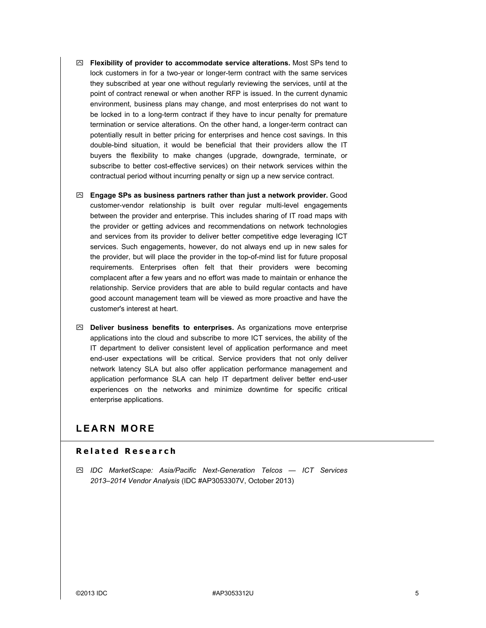- **Flexibility of provider to accommodate service alterations.** Most SPs tend to lock customers in for a two-year or longer-term contract with the same services they subscribed at year one without regularly reviewing the services, until at the point of contract renewal or when another RFP is issued. In the current dynamic environment, business plans may change, and most enterprises do not want to be locked in to a long-term contract if they have to incur penalty for premature termination or service alterations. On the other hand, a longer-term contract can potentially result in better pricing for enterprises and hence cost savings. In this double-bind situation, it would be beneficial that their providers allow the IT buyers the flexibility to make changes (upgrade, downgrade, terminate, or subscribe to better cost-effective services) on their network services within the contractual period without incurring penalty or sign up a new service contract.
- **Engage SPs as business partners rather than just a network provider.** Good customer-vendor relationship is built over regular multi-level engagements between the provider and enterprise. This includes sharing of IT road maps with the provider or getting advices and recommendations on network technologies and services from its provider to deliver better competitive edge leveraging ICT services. Such engagements, however, do not always end up in new sales for the provider, but will place the provider in the top-of-mind list for future proposal requirements. Enterprises often felt that their providers were becoming complacent after a few years and no effort was made to maintain or enhance the relationship. Service providers that are able to build regular contacts and have good account management team will be viewed as more proactive and have the customer's interest at heart.
- **Deliver business benefits to enterprises.** As organizations move enterprise applications into the cloud and subscribe to more ICT services, the ability of the IT department to deliver consistent level of application performance and meet end-user expectations will be critical. Service providers that not only deliver network latency SLA but also offer application performance management and application performance SLA can help IT department deliver better end-user experiences on the networks and minimize downtime for specific critical enterprise applications.

### **LEARN MORE**

#### **Related Research**

 *IDC MarketScape: Asia/Pacific Next-Generation Telcos — ICT Services 2013–2014 Vendor Analysis* (IDC #AP3053307V, October 2013)